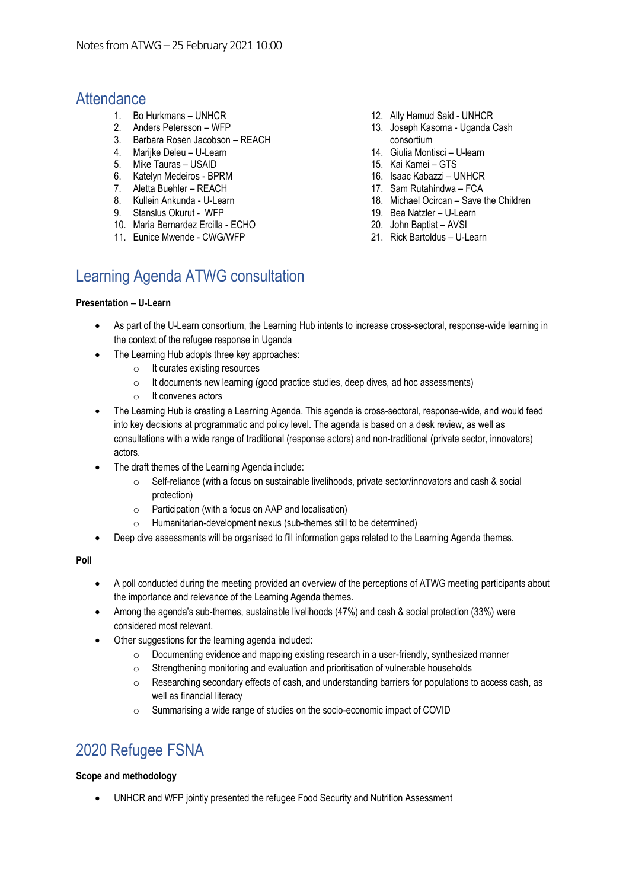### **Attendance**

- 1. Bo Hurkmans UNHCR
- 2. Anders Petersson WFP
- 3. Barbara Rosen Jacobson REACH
- 4. Marijke Deleu U-Learn
- 5. Mike Tauras USAID
- 6. Katelyn Medeiros BPRM
- 7. Aletta Buehler REACH
- 8. Kullein Ankunda U-Learn
- 9. Stanslus Okurut WFP
- 10. Maria Bernardez Ercilla ECHO
- 11. Eunice Mwende CWG/WFP
- 12. Ally Hamud Said UNHCR
- 13. Joseph Kasoma Uganda Cash consortium
- 14. Giulia Montisci U-learn
- 15. Kai Kamei GTS
- 16. Isaac Kabazzi UNHCR
- 17. Sam Rutahindwa FCA
- 18. Michael Ocircan Save the Children
- 19. Bea Natzler U-Learn
- 20. John Baptist AVSI
- 21. Rick Bartoldus U-Learn

# Learning Agenda ATWG consultation

#### **Presentation – U-Learn**

- As part of the U-Learn consortium, the Learning Hub intents to increase cross-sectoral, response-wide learning in the context of the refugee response in Uganda
- The Learning Hub adopts three key approaches:
	- o It curates existing resources
	- o It documents new learning (good practice studies, deep dives, ad hoc assessments)
	- o It convenes actors
- The Learning Hub is creating a Learning Agenda. This agenda is cross-sectoral, response-wide, and would feed into key decisions at programmatic and policy level. The agenda is based on a desk review, as well as consultations with a wide range of traditional (response actors) and non-traditional (private sector, innovators) actors.
- The draft themes of the Learning Agenda include:
	- $\circ$  Self-reliance (with a focus on sustainable livelihoods, private sector/innovators and cash & social protection)
	- o Participation (with a focus on AAP and localisation)
	- o Humanitarian-development nexus (sub-themes still to be determined)
- Deep dive assessments will be organised to fill information gaps related to the Learning Agenda themes.

#### **Poll**

- A poll conducted during the meeting provided an overview of the perceptions of ATWG meeting participants about the importance and relevance of the Learning Agenda themes.
- Among the agenda's sub-themes, sustainable livelihoods (47%) and cash & social protection (33%) were considered most relevant.
- Other suggestions for the learning agenda included:
	- $\circ$  Documenting evidence and mapping existing research in a user-friendly, synthesized manner
	- o Strengthening monitoring and evaluation and prioritisation of vulnerable households
	- $\circ$  Researching secondary effects of cash, and understanding barriers for populations to access cash, as well as financial literacy
	- o Summarising a wide range of studies on the socio-economic impact of COVID

# 2020 Refugee FSNA

#### **Scope and methodology**

• UNHCR and WFP jointly presented the refugee Food Security and Nutrition Assessment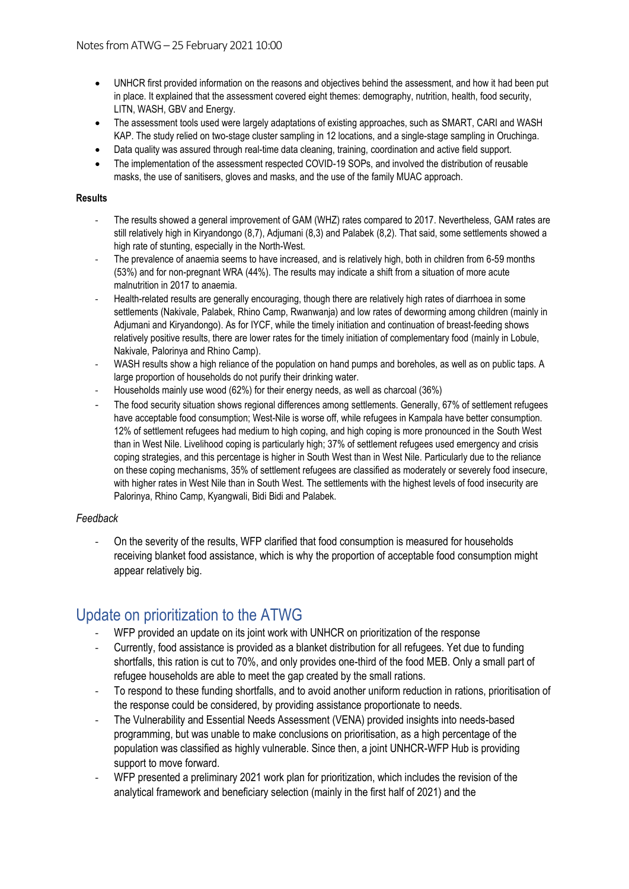- UNHCR first provided information on the reasons and objectives behind the assessment, and how it had been put in place. It explained that the assessment covered eight themes: demography, nutrition, health, food security, LITN, WASH, GBV and Energy.
- The assessment tools used were largely adaptations of existing approaches, such as SMART, CARI and WASH KAP. The study relied on two-stage cluster sampling in 12 locations, and a single-stage sampling in Oruchinga.
- Data quality was assured through real-time data cleaning, training, coordination and active field support.
- The implementation of the assessment respected COVID-19 SOPs, and involved the distribution of reusable masks, the use of sanitisers, gloves and masks, and the use of the family MUAC approach.

#### **Results**

- The results showed a general improvement of GAM (WHZ) rates compared to 2017. Nevertheless, GAM rates are still relatively high in Kiryandongo (8,7), Adjumani (8,3) and Palabek (8,2). That said, some settlements showed a high rate of stunting, especially in the North-West.
- The prevalence of anaemia seems to have increased, and is relatively high, both in children from 6-59 months (53%) and for non-pregnant WRA (44%). The results may indicate a shift from a situation of more acute malnutrition in 2017 to anaemia.
- Health-related results are generally encouraging, though there are relatively high rates of diarrhoea in some settlements (Nakivale, Palabek, Rhino Camp, Rwanwania) and low rates of deworming among children (mainly in Adjumani and Kiryandongo). As for IYCF, while the timely initiation and continuation of breast-feeding shows relatively positive results, there are lower rates for the timely initiation of complementary food (mainly in Lobule, Nakivale, Palorinya and Rhino Camp).
- WASH results show a high reliance of the population on hand pumps and boreholes, as well as on public taps. A large proportion of households do not purify their drinking water.
- Households mainly use wood (62%) for their energy needs, as well as charcoal (36%)
- The food security situation shows regional differences among settlements. Generally, 67% of settlement refugees have acceptable food consumption; West-Nile is worse off, while refugees in Kampala have better consumption. 12% of settlement refugees had medium to high coping, and high coping is more pronounced in the South West than in West Nile. Livelihood coping is particularly high; 37% of settlement refugees used emergency and crisis coping strategies, and this percentage is higher in South West than in West Nile. Particularly due to the reliance on these coping mechanisms, 35% of settlement refugees are classified as moderately or severely food insecure, with higher rates in West Nile than in South West. The settlements with the highest levels of food insecurity are Palorinya, Rhino Camp, Kyangwali, Bidi Bidi and Palabek.

#### *Feedback*

- On the severity of the results, WFP clarified that food consumption is measured for households receiving blanket food assistance, which is why the proportion of acceptable food consumption might appear relatively big.

# Update on prioritization to the ATWG

- WFP provided an update on its joint work with UNHCR on prioritization of the response
- Currently, food assistance is provided as a blanket distribution for all refugees. Yet due to funding shortfalls, this ration is cut to 70%, and only provides one-third of the food MEB. Only a small part of refugee households are able to meet the gap created by the small rations.
- To respond to these funding shortfalls, and to avoid another uniform reduction in rations, prioritisation of the response could be considered, by providing assistance proportionate to needs.
- The Vulnerability and Essential Needs Assessment (VENA) provided insights into needs-based programming, but was unable to make conclusions on prioritisation, as a high percentage of the population was classified as highly vulnerable. Since then, a joint UNHCR-WFP Hub is providing support to move forward.
- WFP presented a preliminary 2021 work plan for prioritization, which includes the revision of the analytical framework and beneficiary selection (mainly in the first half of 2021) and the